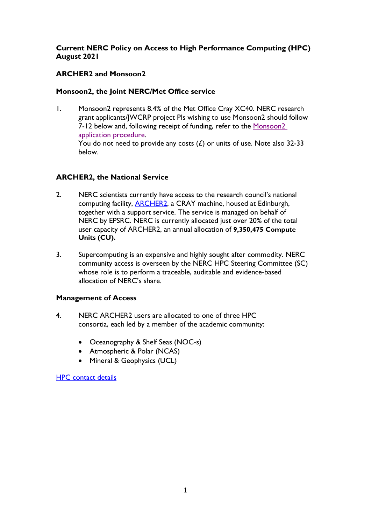# **Current NERC Policy on Access to High Performance Computing (HPC) August 2021**

# **ARCHER2 and Monsoon2**

## **Monsoon2, the Joint NERC/Met Office service**

1. Monsoon2 represents 8.4% of the Met Office Cray XC40. NERC research grant applicants/JWCRP project PIs wishing to use Monsoon2 should follow 7-12 below and, following receipt of funding, refer to the [Monsoon2](http://collab.metoffice.gov.uk/twiki/bin/view/Support/ApplyingToUseMONSooN) application [procedure.](http://collab.metoffice.gov.uk/twiki/bin/view/Support/ApplyingToUseMONSooN) You do not need to provide any costs  $(E)$  or units of use. Note also 32-33 below.

# **ARCHER2, the National Service**

- 2. NERC scientists currently have access to the research council's national computing facility, [ARCHER2,](https://www.archer2.ac.uk/) a CRAY machine, housed at Edinburgh, together with a support service. The service is managed on behalf of NERC by EPSRC. NERC is currently allocated just over 20% of the total user capacity of ARCHER2, an annual allocation of **9,350,475 Compute Units (CU).**
- 3. Supercomputing is an expensive and highly sought after commodity. NERC community access is overseen by the NERC HPC Steering Committee (SC) whose role is to perform a traceable, auditable and evidence-based allocation of NERC's share.

## **Management of Access**

- 4. NERC ARCHER2 users are allocated to one of three HPC consortia, each led by a member of the academic community:
	- Oceanography & Shelf Seas (NOC-s)
	- Atmospheric & Polar (NCAS)
	- Mineral & Geophysics (UCL)

[HPC contact details](https://nerc.ukri.org/research/sites/facilities/hpc/applying/)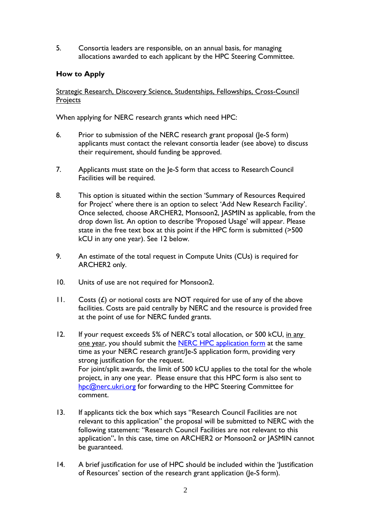5. Consortia leaders are responsible, on an annual basis, for managing allocations awarded to each applicant by the HPC Steering Committee.

## **How to Apply**

Strategic Research, Discovery Science, Studentships, Fellowships, Cross-Council **Projects** 

When applying for NERC research grants which need HPC:

- 6. Prior to submission of the NERC research grant proposal (Je-S form) applicants must contact the relevant consortia leader (see above) to discuss their requirement, should funding be approved.
- 7. Applicants must state on the Je-S form that access to Research Council Facilities will be required.
- 8. This option is situated within the section 'Summary of Resources Required for Project' where there is an option to select 'Add New Research Facility'. Once selected, choose ARCHER2, Monsoon2, JASMIN as applicable, from the drop down list. An option to describe 'Proposed Usage' will appear. Please state in the free text box at this point if the HPC form is submitted (>500 kCU in any one year). See 12 below.
- 9. An estimate of the total request in Compute Units (CUs) is required for ARCHER2 only.
- 10. Units of use are not required for Monsoon2.
- 11. Costs  $(E)$  or notional costs are NOT required for use of any of the above facilities. Costs are paid centrally by NERC and the resource is provided free at the point of use for NERC funded grants.
- 12. If your request exceeds 5% of NERC's total allocation, or 500 kCU, in any one year, you should submit the [NERC HPC application form](https://nerc.ukri.org/research/sites/facilities/hpc/applying/hpc-new-form-2022-2023/) at the same time as your NERC research grant/Je-S application form, providing very strong justification for the request. For joint/split awards, the limit of 500 kCU applies to the total for the whole project, in any one year. Please ensure that this HPC form is also sent to [hpc@nerc.ukri.org](mailto:hpc@nerc.ukri.org) for forwarding to the HPC Steering Committee for comment.
- 13. If applicants tick the box which says "Research Council Facilities are not relevant to this application" the proposal will be submitted to NERC with the following statement: "Research Council Facilities are not relevant to this application"**.** In this case, time on ARCHER2 or Monsoon2 or JASMIN cannot be guaranteed.
- 14. A brief justification for use of HPC should be included within the 'Justification of Resources' section of the research grant application (Je-S form).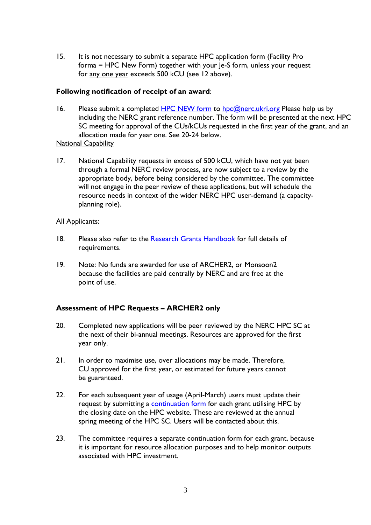15. It is not necessary to submit a separate HPC application form (Facility Pro  $forma = HPC$  New Form) together with your  $le-S$  form, unless your request for any one year exceeds 500 kCU (see 12 above).

#### **Following notification of receipt of an award**:

- 16. Please submit a completed [HPC NEW form](https://nerc.ukri.org/research/sites/facilities/hpc/applying/hpc-new-form-2022-2023/) to [hpc@nerc.ukri.org](mailto:hpc@nerc.ukri.org) Please help us by including the NERC grant reference number. The form will be presented at the next HPC SC meeting for approval of the CUs/kCUs requested in the first year of the grant, and an allocation made for year one. See 20-24 below. National Capability
- 17. National Capability requests in excess of 500 kCU, which have not yet been through a formal NERC review process, are now subject to a review by the appropriate body, before being considered by the committee. The committee will not engage in the peer review of these applications, but will schedule the resource needs in context of the wider NERC HPC user-demand (a capacityplanning role).

## All Applicants:

- 18. Please also refer to the [Research Grants Handbook](https://nerc.ukri.org/funding/application/howtoapply/forms/) for full details of requirements.
- 19. Note: No funds are awarded for use of ARCHER2, or Monsoon2 because the facilities are paid centrally by NERC and are free at the point of use.

## **Assessment of HPC Requests – ARCHER2 only**

- 20. Completed new applications will be peer reviewed by the NERC HPC SC at the next of their bi-annual meetings. Resources are approved for the first year only.
- 21. In order to maximise use, over allocations may be made. Therefore, CU approved for the first year, or estimated for future years cannot be guaranteed.
- 22. For each subsequent year of usage (April-March) users must update their request by submitting a **continuation form** for each grant utilising HPC by the closing date on the HPC website. These are reviewed at the annual spring meeting of the HPC SC. Users will be contacted about this.
- 23. The committee requires a separate continuation form for each grant, because it is important for resource allocation purposes and to help monitor outputs associated with HPC investment.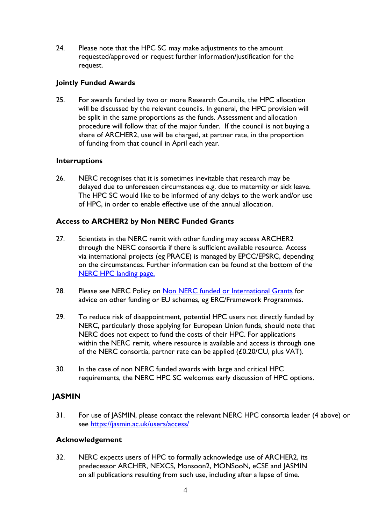24. Please note that the HPC SC may make adjustments to the amount requested/approved or request further information/justification for the request.

#### **Jointly Funded Awards**

25. For awards funded by two or more Research Councils, the HPC allocation will be discussed by the relevant councils. In general, the HPC provision will be split in the same proportions as the funds. Assessment and allocation procedure will follow that of the major funder. If the council is not buying a share of ARCHER2, use will be charged, at partner rate, in the proportion of funding from that council in April each year.

#### **Interruptions**

26. NERC recognises that it is sometimes inevitable that research may be delayed due to unforeseen circumstances e.g. due to maternity or sick leave. The HPC SC would like to be informed of any delays to the work and/or use of HPC, in order to enable effective use of the annual allocation.

#### **Access to ARCHER2 by Non NERC Funded Grants**

- 27. Scientists in the NERC remit with other funding may access ARCHER2 through the NERC consortia if there is sufficient available resource. Access via international projects (eg PRACE) is managed by EPCC/EPSRC, depending on the circumstances. Further information can be found at the bottom of the [NERC HPC landing page.](https://nerc.ukri.org/research/sites/facilities/hpc/)
- 28. Please see NERC Policy on [Non NERC funded or International Grants](https://nerc.ukri.org/research/sites/facilities/hpc/nonnerc-funded-archer-guidelines/) for advice on other funding or EU schemes, eg ERC/Framework Programmes.
- 29. To reduce risk of disappointment, potential HPC users not directly funded by NERC, particularly those applying for European Union funds, should note that NERC does not expect to fund the costs of their HPC. For applications within the NERC remit, where resource is available and access is through one of the NERC consortia, partner rate can be applied (£0.20/CU, plus VAT).
- 30. In the case of non NERC funded awards with large and critical HPC requirements, the NERC HPC SC welcomes early discussion of HPC options.

## **JASMIN**

31. For use of JASMIN, please contact the relevant NERC HPC consortia leader (4 above) or see<https://jasmin.ac.uk/users/access/>

#### **Acknowledgement**

32. NERC expects users of HPC to formally acknowledge use of ARCHER2, its predecessor ARCHER, NEXCS, Monsoon2, MONSooN, eCSE and JASMIN on all publications resulting from such use, including after a lapse of time.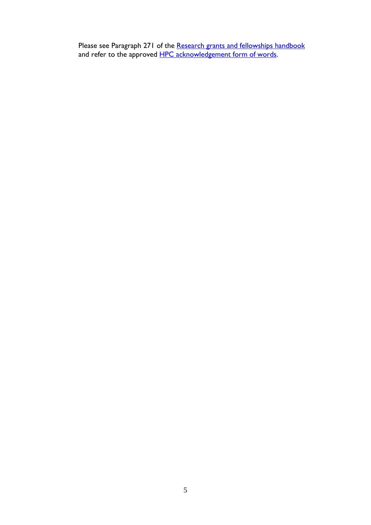Please see Paragraph 271 of the <u>[Research grants and fellowships handbook](https://nerc.ukri.org/funding/application/howtoapply/forms/)</u> and refer to the approved <u>[HPC acknowledgement form of](https://nerc.ukri.org/research/sites/facilities/hpc/applying/hpc-acknowledgements/) words</u>.